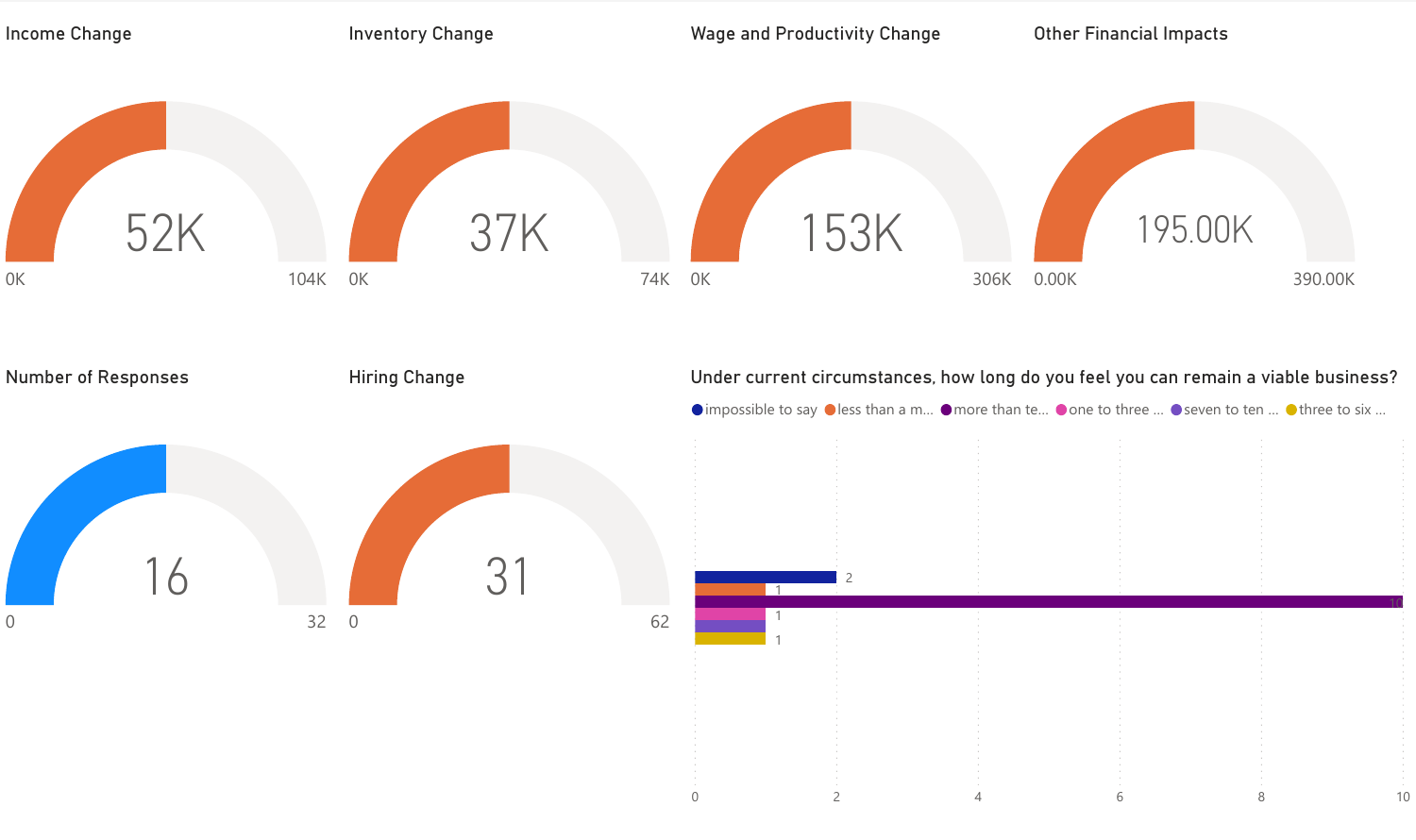| Income Change               | <b>Inventory Change</b>    | <b>Wage and Productivity Change</b> | <b>Other Financial Impacts</b>                                                                                                                                                           |
|-----------------------------|----------------------------|-------------------------------------|------------------------------------------------------------------------------------------------------------------------------------------------------------------------------------------|
| 52K<br>$0\mathrm{K}$        | 37K<br>104K 0K             | <b>153K</b><br>74K OK               | 195.00K<br>0.00K<br>390.00K<br>306K                                                                                                                                                      |
| <b>Number of Responses</b>  | <b>Hiring Change</b>       |                                     | Under current circumstances, how long do you feel you can remain a viable business?<br>● impossible to say ● less than a m ● more than te ● one to three  ● seven to ten  ● three to six |
| $^{\circ}$ 6<br>$\mathbf 0$ | 31<br>32<br>$\overline{0}$ | 62                                  |                                                                                                                                                                                          |
|                             |                            | $\mathsf O$<br>$\overline{2}$       | $6\,$<br>8<br>10                                                                                                                                                                         |